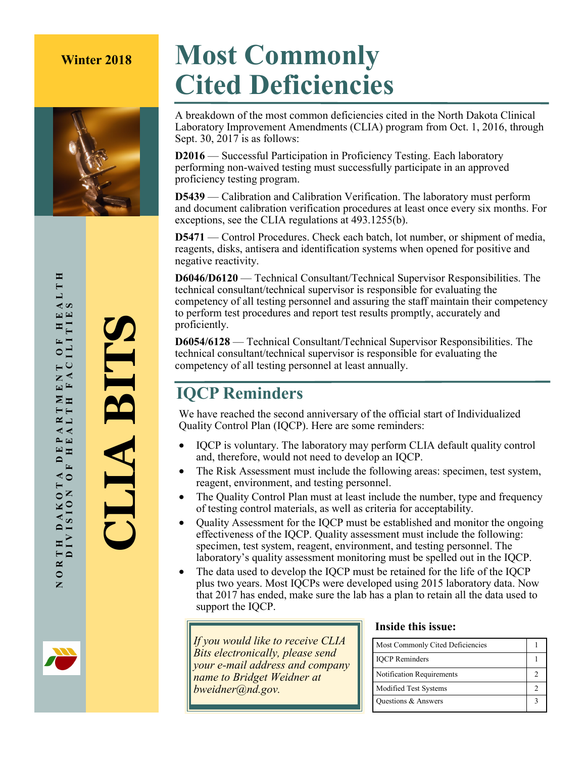

# **Winter 2018 Most Commonly Cited Deficiencies**

A breakdown of the most common deficiencies cited in the North Dakota Clinical Laboratory Improvement Amendments (CLIA) program from Oct. 1, 2016, through Sept. 30, 2017 is as follows:

**D2016** — Successful Participation in Proficiency Testing. Each laboratory performing non-waived testing must successfully participate in an approved proficiency testing program.

**D5439** — Calibration and Calibration Verification. The laboratory must perform and document calibration verification procedures at least once every six months. For exceptions, see the CLIA regulations at 493.1255(b).

**D5471** — Control Procedures. Check each batch, lot number, or shipment of media, reagents, disks, antisera and identification systems when opened for positive and negative reactivity.

**D6046/D6120** — Technical Consultant/Technical Supervisor Responsibilities. The technical consultant/technical supervisor is responsible for evaluating the competency of all testing personnel and assuring the staff maintain their competency to perform test procedures and report test results promptly, accurately and proficiently.

**D6054/6128** — Technical Consultant/Technical Supervisor Responsibilities. The technical consultant/technical supervisor is responsible for evaluating the competency of all testing personnel at least annually.

### **IQCP Reminders**

We have reached the second anniversary of the official start of Individualized Quality Control Plan (IQCP). Here are some reminders:

- IQCP is voluntary. The laboratory may perform CLIA default quality control and, therefore, would not need to develop an IQCP.
- The Risk Assessment must include the following areas: specimen, test system, reagent, environment, and testing personnel.
- The Quality Control Plan must at least include the number, type and frequency of testing control materials, as well as criteria for acceptability.
- Ouality Assessment for the IOCP must be established and monitor the ongoing effectiveness of the IQCP. Quality assessment must include the following: specimen, test system, reagent, environment, and testing personnel. The laboratory's quality assessment monitoring must be spelled out in the IQCP.
- The data used to develop the IOCP must be retained for the life of the IOCP plus two years. Most IQCPs were developed using 2015 laboratory data. Now that 2017 has ended, make sure the lab has a plan to retain all the data used to support the IQCP.

*If you would like to receive CLIA Bits electronically, please send your e-mail address and company name to Bridget Weidner at bweidner@nd.gov.*

#### **Inside this issue:**

| Most Commonly Cited Deficiencies |  |
|----------------------------------|--|
| <b>IQCP</b> Reminders            |  |
| Notification Requirements        |  |
| Modified Test Systems            |  |
| Questions & Answers              |  |

**CLIA BITS**

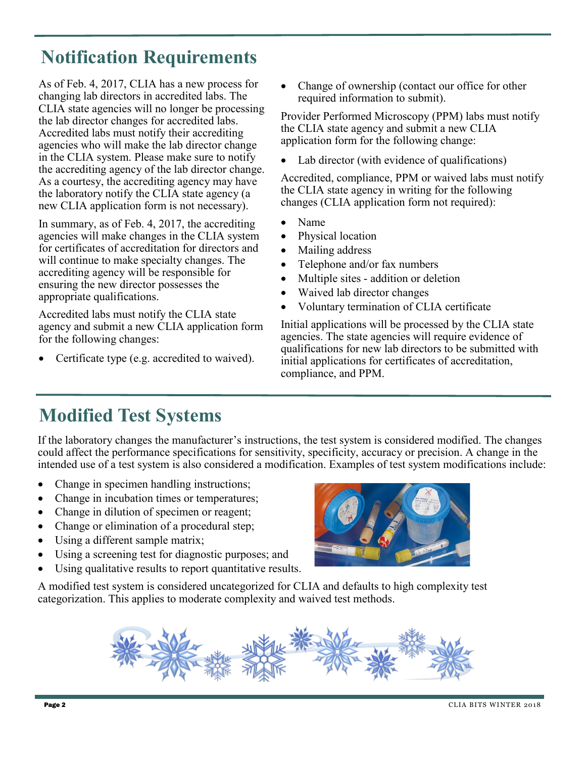## **Notification Requirements**

As of Feb. 4, 2017, CLIA has a new process for changing lab directors in accredited labs. The CLIA state agencies will no longer be processing the lab director changes for accredited labs. Accredited labs must notify their accrediting agencies who will make the lab director change in the CLIA system. Please make sure to notify the accrediting agency of the lab director change. As a courtesy, the accrediting agency may have the laboratory notify the CLIA state agency (a new CLIA application form is not necessary).

In summary, as of Feb. 4, 2017, the accrediting agencies will make changes in the CLIA system for certificates of accreditation for directors and will continue to make specialty changes. The accrediting agency will be responsible for ensuring the new director possesses the appropriate qualifications.

Accredited labs must notify the CLIA state agency and submit a new CLIA application form for the following changes:

Certificate type (e.g. accredited to waived).

Change of ownership (contact our office for other required information to submit).

Provider Performed Microscopy (PPM) labs must notify the CLIA state agency and submit a new CLIA application form for the following change:

Lab director (with evidence of qualifications)

Accredited, compliance, PPM or waived labs must notify the CLIA state agency in writing for the following changes (CLIA application form not required):

- Name
- Physical location
- Mailing address
- Telephone and/or fax numbers
- Multiple sites addition or deletion
- Waived lab director changes
- Voluntary termination of CLIA certificate

Initial applications will be processed by the CLIA state agencies. The state agencies will require evidence of qualifications for new lab directors to be submitted with initial applications for certificates of accreditation, compliance, and PPM.

## **Modified Test Systems**

If the laboratory changes the manufacturer's instructions, the test system is considered modified. The changes could affect the performance specifications for sensitivity, specificity, accuracy or precision. A change in the intended use of a test system is also considered a modification. Examples of test system modifications include:

- Change in specimen handling instructions;
- Change in incubation times or temperatures;
- Change in dilution of specimen or reagent;
- Change or elimination of a procedural step;
- Using a different sample matrix;
- Using a screening test for diagnostic purposes; and
- Using qualitative results to report quantitative results.

A modified test system is considered uncategorized for CLIA and defaults to high complexity test categorization. This applies to moderate complexity and waived test methods.